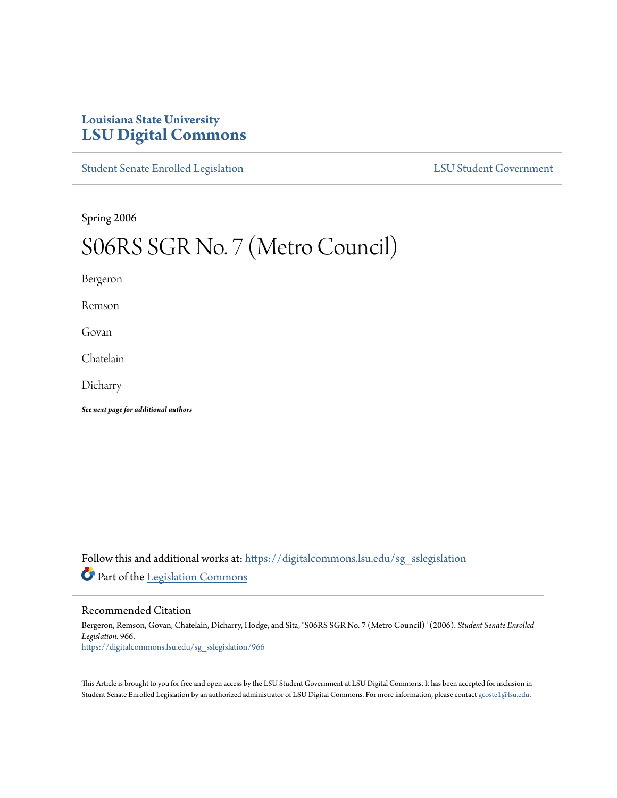# **Louisiana State University [LSU Digital Commons](https://digitalcommons.lsu.edu?utm_source=digitalcommons.lsu.edu%2Fsg_sslegislation%2F966&utm_medium=PDF&utm_campaign=PDFCoverPages)**

[Student Senate Enrolled Legislation](https://digitalcommons.lsu.edu/sg_sslegislation?utm_source=digitalcommons.lsu.edu%2Fsg_sslegislation%2F966&utm_medium=PDF&utm_campaign=PDFCoverPages) [LSU Student Government](https://digitalcommons.lsu.edu/sg?utm_source=digitalcommons.lsu.edu%2Fsg_sslegislation%2F966&utm_medium=PDF&utm_campaign=PDFCoverPages)

Spring 2006

# S06RS SGR No. 7 (Metro Council)

Bergeron

Remson

Govan

Chatelain

Dicharry

*See next page for additional authors*

Follow this and additional works at: [https://digitalcommons.lsu.edu/sg\\_sslegislation](https://digitalcommons.lsu.edu/sg_sslegislation?utm_source=digitalcommons.lsu.edu%2Fsg_sslegislation%2F966&utm_medium=PDF&utm_campaign=PDFCoverPages) Part of the [Legislation Commons](http://network.bepress.com/hgg/discipline/859?utm_source=digitalcommons.lsu.edu%2Fsg_sslegislation%2F966&utm_medium=PDF&utm_campaign=PDFCoverPages)

#### Recommended Citation

Bergeron, Remson, Govan, Chatelain, Dicharry, Hodge, and Sita, "S06RS SGR No. 7 (Metro Council)" (2006). *Student Senate Enrolled Legislation*. 966. [https://digitalcommons.lsu.edu/sg\\_sslegislation/966](https://digitalcommons.lsu.edu/sg_sslegislation/966?utm_source=digitalcommons.lsu.edu%2Fsg_sslegislation%2F966&utm_medium=PDF&utm_campaign=PDFCoverPages)

This Article is brought to you for free and open access by the LSU Student Government at LSU Digital Commons. It has been accepted for inclusion in Student Senate Enrolled Legislation by an authorized administrator of LSU Digital Commons. For more information, please contact [gcoste1@lsu.edu.](mailto:gcoste1@lsu.edu)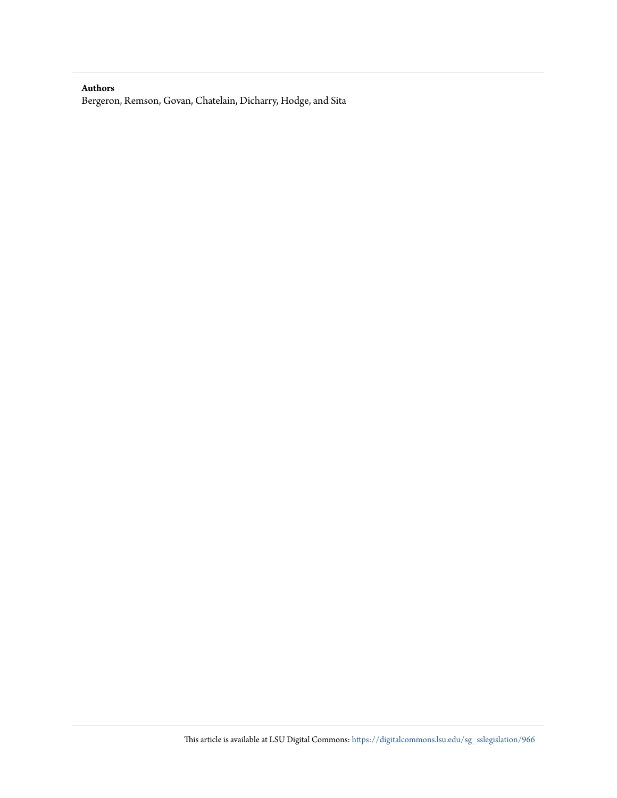#### **Authors**

Bergeron, Remson, Govan, Chatelain, Dicharry, Hodge, and Sita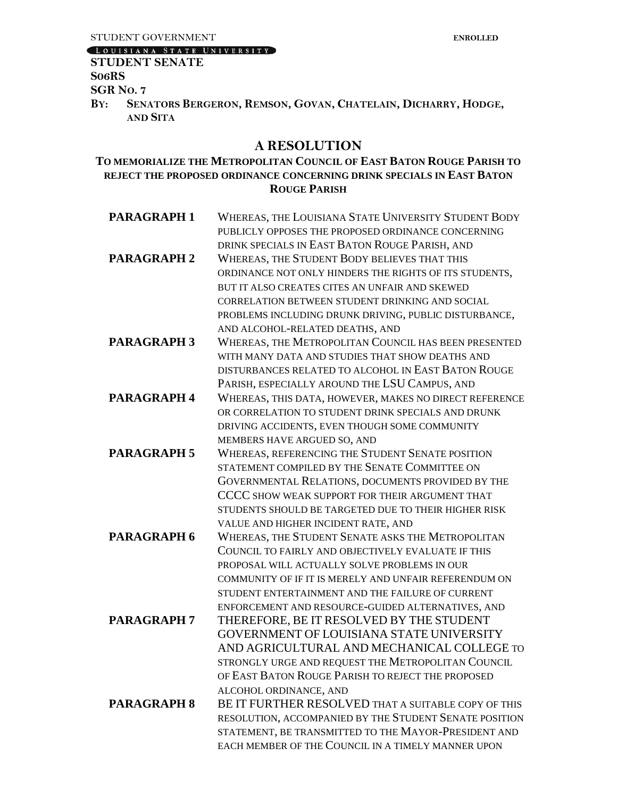## LOUISIANA STATE UNIVERSITY

#### **STUDENT SENATE S06RS**

**SGR NO. 7**

BY: SENATORS BERGERON, REMSON, GOVAN, CHATELAIN, DICHARRY, HODGE, **AND SITA**

## **A RESOLUTION**

## **TO MEMORIALIZE THE METROPOLITAN COUNCIL OF EAST BATON ROUGE PARISH TO REJECT THE PROPOSED ORDINANCE CONCERNING DRINK SPECIALS IN EAST BATON ROUGE PARISH**

| <b>PARAGRAPH1</b>  | WHEREAS, THE LOUISIANA STATE UNIVERSITY STUDENT BODY   |
|--------------------|--------------------------------------------------------|
|                    | PUBLICLY OPPOSES THE PROPOSED ORDINANCE CONCERNING     |
|                    | DRINK SPECIALS IN EAST BATON ROUGE PARISH, AND         |
| <b>PARAGRAPH 2</b> | WHEREAS, THE STUDENT BODY BELIEVES THAT THIS           |
|                    | ORDINANCE NOT ONLY HINDERS THE RIGHTS OF ITS STUDENTS, |
|                    | BUT IT ALSO CREATES CITES AN UNFAIR AND SKEWED         |
|                    | CORRELATION BETWEEN STUDENT DRINKING AND SOCIAL        |
|                    | PROBLEMS INCLUDING DRUNK DRIVING, PUBLIC DISTURBANCE,  |
|                    | AND ALCOHOL-RELATED DEATHS, AND                        |
| <b>PARAGRAPH 3</b> | WHEREAS, THE METROPOLITAN COUNCIL HAS BEEN PRESENTED   |
|                    | WITH MANY DATA AND STUDIES THAT SHOW DEATHS AND        |
|                    | DISTURBANCES RELATED TO ALCOHOL IN EAST BATON ROUGE    |
|                    | PARISH, ESPECIALLY AROUND THE LSU CAMPUS, AND          |
| <b>PARAGRAPH 4</b> | WHEREAS, THIS DATA, HOWEVER, MAKES NO DIRECT REFERENCE |
|                    | OR CORRELATION TO STUDENT DRINK SPECIALS AND DRUNK     |
|                    | DRIVING ACCIDENTS, EVEN THOUGH SOME COMMUNITY          |
|                    | MEMBERS HAVE ARGUED SO, AND                            |
| <b>PARAGRAPH 5</b> | WHEREAS, REFERENCING THE STUDENT SENATE POSITION       |
|                    | STATEMENT COMPILED BY THE SENATE COMMITTEE ON          |
|                    | GOVERNMENTAL RELATIONS, DOCUMENTS PROVIDED BY THE      |
|                    | CCCC SHOW WEAK SUPPORT FOR THEIR ARGUMENT THAT         |
|                    | STUDENTS SHOULD BE TARGETED DUE TO THEIR HIGHER RISK   |
|                    | VALUE AND HIGHER INCIDENT RATE, AND                    |
| <b>PARAGRAPH 6</b> | WHEREAS, THE STUDENT SENATE ASKS THE METROPOLITAN      |
|                    | COUNCIL TO FAIRLY AND OBJECTIVELY EVALUATE IF THIS     |
|                    | PROPOSAL WILL ACTUALLY SOLVE PROBLEMS IN OUR           |
|                    | COMMUNITY OF IF IT IS MERELY AND UNFAIR REFERENDUM ON  |
|                    | STUDENT ENTERTAINMENT AND THE FAILURE OF CURRENT       |
|                    | ENFORCEMENT AND RESOURCE-GUIDED ALTERNATIVES, AND      |
| <b>PARAGRAPH 7</b> | THEREFORE, BE IT RESOLVED BY THE STUDENT               |
|                    | GOVERNMENT OF LOUISIANA STATE UNIVERSITY               |
|                    | AND AGRICULTURAL AND MECHANICAL COLLEGE TO             |
|                    | STRONGLY URGE AND REQUEST THE METROPOLITAN COUNCIL     |
|                    | OF EAST BATON ROUGE PARISH TO REJECT THE PROPOSED      |
|                    | ALCOHOL ORDINANCE, AND                                 |
| <b>PARAGRAPH 8</b> | BE IT FURTHER RESOLVED THAT A SUITABLE COPY OF THIS    |
|                    | RESOLUTION, ACCOMPANIED BY THE STUDENT SENATE POSITION |
|                    | STATEMENT, BE TRANSMITTED TO THE MAYOR-PRESIDENT AND   |
|                    | EACH MEMBER OF THE COUNCIL IN A TIMELY MANNER UPON     |